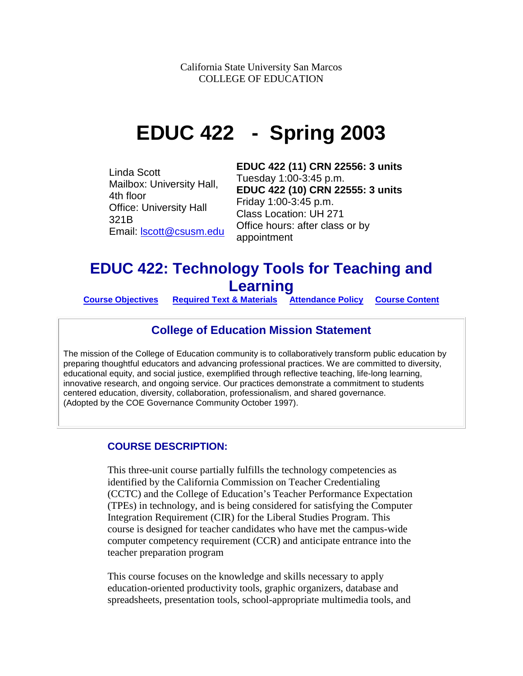California State University San Marcos COLLEGE OF EDUCATION

# **EDUC 422 - Spring 2003**

Linda Scott Mailbox: University Hall, 4th floor Office: University Hall 321B Email: [lscott@csusm.edu](mailto:lscott@csusm.edu) **EDUC 422 (11) CRN 22556: 3 units**  Tuesday 1:00-3:45 p.m. **EDUC 422 (10) CRN 22555: 3 units** Friday 1:00-3:45 p.m. Class Location: UH 271 Office hours: after class or by appointment

# **EDUC 422: Technology Tools for Teaching and Learning**

**Course Objectives [Required Text & Materials](#page-3-0) [Attendance Policy](#page-5-0) [Course Content](#page-4-0)**

# **College of Education Mission Statement**

The mission of the College of Education community is to collaboratively transform public education by preparing thoughtful educators and advancing professional practices. We are committed to diversity, educational equity, and social justice, exemplified through reflective teaching, life-long learning, innovative research, and ongoing service. Our practices demonstrate a commitment to students centered education, diversity, collaboration, professionalism, and shared governance. (Adopted by the COE Governance Community October 1997).

# **COURSE DESCRIPTION:**

This three-unit course partially fulfills the technology competencies as identified by the California Commission on Teacher Credentialing (CCTC) and the College of Education's Teacher Performance Expectation (TPEs) in technology, and is being considered for satisfying the Computer Integration Requirement (CIR) for the Liberal Studies Program. This course is designed for teacher candidates who have met the campus-wide computer competency requirement (CCR) and anticipate entrance into the teacher preparation program

This course focuses on the knowledge and skills necessary to apply education-oriented productivity tools, graphic organizers, database and spreadsheets, presentation tools, school-appropriate multimedia tools, and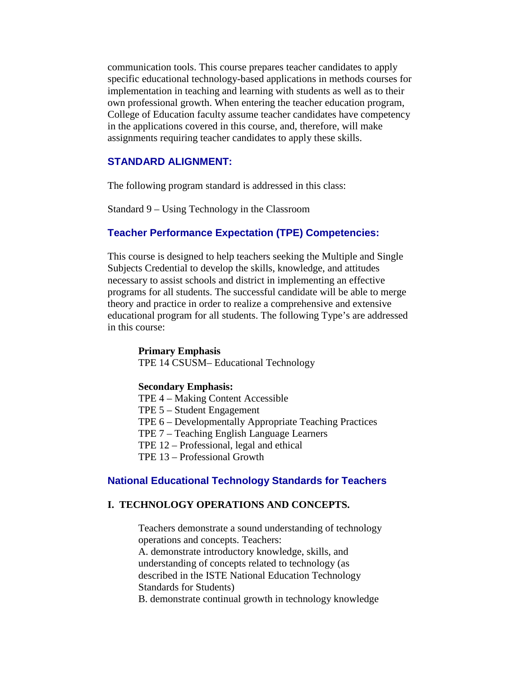communication tools. This course prepares teacher candidates to apply specific educational technology-based applications in methods courses for implementation in teaching and learning with students as well as to their own professional growth. When entering the teacher education program, College of Education faculty assume teacher candidates have competency in the applications covered in this course, and, therefore, will make assignments requiring teacher candidates to apply these skills.

# **STANDARD ALIGNMENT:**

The following program standard is addressed in this class:

Standard 9 – Using Technology in the Classroom

#### **Teacher Performance Expectation (TPE) Competencies:**

This course is designed to help teachers seeking the Multiple and Single Subjects Credential to develop the skills, knowledge, and attitudes necessary to assist schools and district in implementing an effective programs for all students. The successful candidate will be able to merge theory and practice in order to realize a comprehensive and extensive educational program for all students. The following Type's are addressed in this course:

#### **Primary Emphasis**

TPE 14 CSUSM– Educational Technology

#### **Secondary Emphasis:**

- TPE 4 Making Content Accessible
- TPE 5 Student Engagement
- TPE 6 Developmentally Appropriate Teaching Practices
- TPE 7 Teaching English Language Learners
- TPE 12 Professional, legal and ethical
- TPE 13 Professional Growth

#### **National Educational Technology Standards for Teachers**

#### **I. TECHNOLOGY OPERATIONS AND CONCEPTS.**

Teachers demonstrate a sound understanding of technology operations and concepts. Teachers:

A. demonstrate introductory knowledge, skills, and understanding of concepts related to technology (as described in the ISTE National Education Technology Standards for Students)

B. demonstrate continual growth in technology knowledge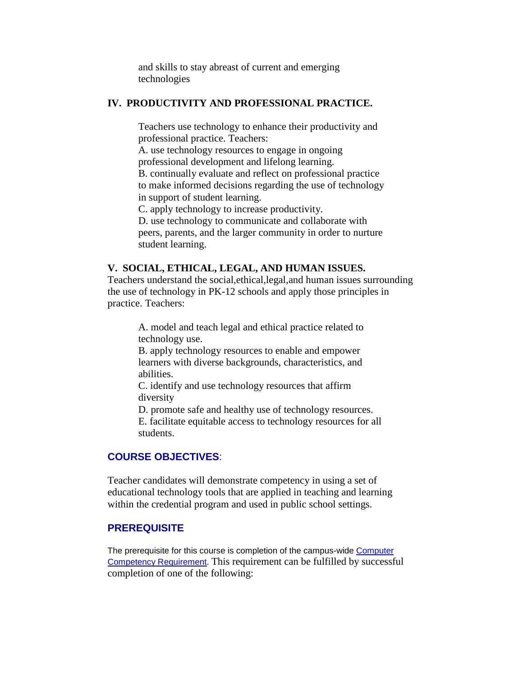and skills to stay abreast of current and emerging technologies

#### **IV. PRODUCTIVITY AND PROFESSIONAL PRACTICE.**

Teachers use technology to enhance their productivity and professional practice. Teachers:

A. use technology resources to engage in ongoing professional development and lifelong learning.

B. continually evaluate and reflect on professional practice to make informed decisions regarding the use of technology in support of student learning.

C. apply technology to increase productivity.

D. use technology to communicate and collaborate with peers, parents, and the larger community in order to nurture student learning.

#### **V. SOCIAL, ETHICAL, LEGAL, AND HUMAN ISSUES.**

Teachers understand the social,ethical,legal,and human issues surrounding the use of technology in PK-12 schools and apply those principles in practice. Teachers:

A. model and teach legal and ethical practice related to technology use.

B. apply technology resources to enable and empower learners with diverse backgrounds, characteristics, and abilities.

C. identify and use technology resources that affirm diversity

D. promote safe and healthy use of technology resources.

E. facilitate equitable access to technology resources for all students.

# **COURSE OBJECTIVES**:

Teacher candidates will demonstrate competency in using a set of educational technology tools that are applied in teaching and learning within the credential program and used in public school settings.

#### **PREREQUISITE**

The prerequisite for this course is completion of the campus-wide Computer [Competency Requirement.](http://www.csusm.edu/computer_labs/ccr.htm) This requirement can be fulfilled by successful completion of one of the following: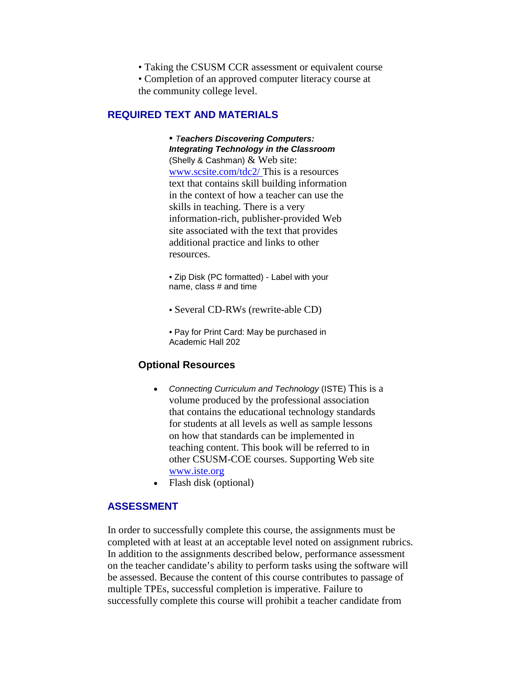• Taking the CSUSM CCR assessment or equivalent course

• Completion of an approved computer literacy course at the community college level.

## <span id="page-3-0"></span>**REQUIRED TEXT AND MATERIALS**

• *Teachers Discovering Computers: Integrating Technology in the Classroom* (Shelly & Cashman)  $&$  Web site: [www.scsite.com/tdc2/ T](http://www.scsite.com/tdc2/)his is a resources text that contains skill building information in the context of how a teacher can use the skills in teaching. There is a very information-rich, publisher-provided Web site associated with the text that provides additional practice and links to other resources.

• Zip Disk (PC formatted) - Label with your name, class # and time

- Several CD-RWs (rewrite-able CD)
- Pay for Print Card: May be purchased in Academic Hall 202

#### **Optional Resources**

- *Connecting Curriculum and Technology* (ISTE) This is a volume produced by the professional association that contains the educational technology standards for students at all levels as well as sample lessons on how that standards can be implemented in teaching content. This book will be referred to in other CSUSM-COE courses. Supporting Web site www.iste.org
- Flash disk (optional)

# **ASSESSMENT**

In order to successfully complete this course, the assignments must be completed with at least at an acceptable level noted on assignment rubrics. In addition to the assignments described below, performance assessment on the teacher candidate's ability to perform tasks using the software will be assessed. Because the content of this course contributes to passage of multiple TPEs, successful completion is imperative. Failure to successfully complete this course will prohibit a teacher candidate from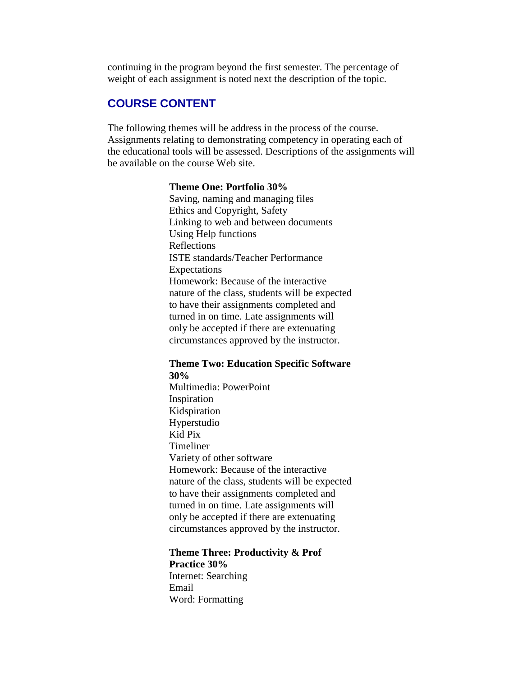continuing in the program beyond the first semester. The percentage of weight of each assignment is noted next the description of the topic.

# <span id="page-4-0"></span>**COURSE CONTENT**

The following themes will be address in the process of the course. Assignments relating to demonstrating competency in operating each of the educational tools will be assessed. Descriptions of the assignments will be available on the course Web site.

## **Theme One: Portfolio 30%**

Saving, naming and managing files Ethics and Copyright, Safety Linking to web and between documents Using Help functions Reflections ISTE standards/Teacher Performance Expectations Homework: Because of the interactive nature of the class, students will be expected to have their assignments completed and turned in on time. Late assignments will only be accepted if there are extenuating circumstances approved by the instructor.

#### **Theme Two: Education Specific Software 30%**

Multimedia: PowerPoint Inspiration Kidspiration Hyperstudio Kid Pix Timeliner Variety of other software Homework: Because of the interactive nature of the class, students will be expected to have their assignments completed and turned in on time. Late assignments will only be accepted if there are extenuating circumstances approved by the instructor.

#### **Theme Three: Productivity & Prof Practice 30%**

Internet: Searching Email Word: Formatting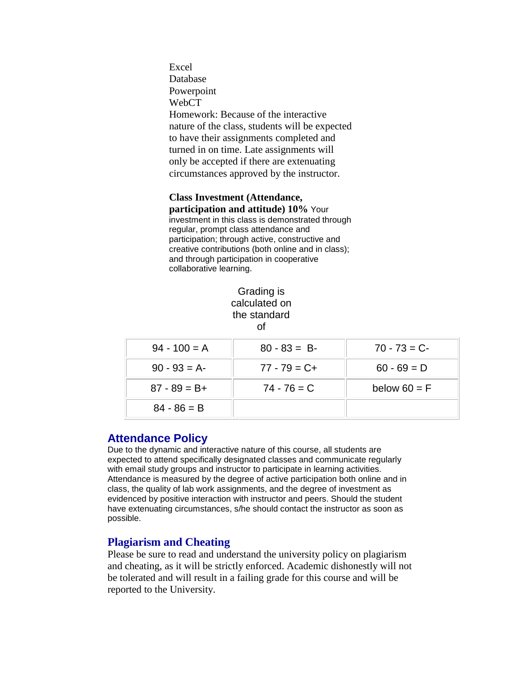Excel Database Powerpoint WebCT Homework: Because of the interactive nature of the class, students will be expected to have their assignments completed and turned in on time. Late assignments will only be accepted if there are extenuating circumstances approved by the instructor.

#### **Class Investment (Attendance, participation and attitude) 10%** Your

investment in this class is demonstrated through regular, prompt class attendance and participation; through active, constructive and creative contributions (both online and in class); and through participation in cooperative collaborative learning.

# Grading is calculated on the standard of

| $94 - 100 = A$  | $80 - 83 = B$   | $70 - 73 = C$  |
|-----------------|-----------------|----------------|
| $90 - 93 = A$   | $77 - 79 = C +$ | $60 - 69 = D$  |
| $87 - 89 = B +$ | $74 - 76 = C$   | below $60 = F$ |
| $84 - 86 = B$   |                 |                |

# <span id="page-5-0"></span>**Attendance Policy**

Due to the dynamic and interactive nature of this course, all students are expected to attend specifically designated classes and communicate regularly with email study groups and instructor to participate in learning activities. Attendance is measured by the degree of active participation both online and in class, the quality of lab work assignments, and the degree of investment as evidenced by positive interaction with instructor and peers. Should the student have extenuating circumstances, s/he should contact the instructor as soon as possible.

# **Plagiarism and Cheating**

Please be sure to read and understand the university policy on plagiarism and cheating, as it will be strictly enforced. Academic dishonestly will not be tolerated and will result in a failing grade for this course and will be reported to the University.